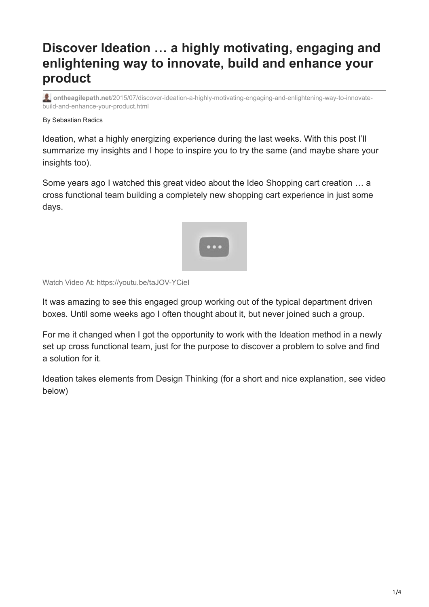# **Discover Ideation … a highly motivating, engaging and enlightening way to innovate, build and enhance your product**

**ontheagilepath.net**[/2015/07/discover-ideation-a-highly-motivating-engaging-and-enlightening-way-to-innovate](https://www.ontheagilepath.net/2015/07/discover-ideation-a-highly-motivating-engaging-and-enlightening-way-to-innovate-build-and-enhance-your-product.html)build-and-enhance-your-product.html

#### By Sebastian Radics

Ideation, what a highly energizing experience during the last weeks. With this post I'll summarize my insights and I hope to inspire you to try the same (and maybe share your insights too).

Some years ago I watched this great video about the Ideo Shopping cart creation … a cross functional team building a completely new shopping cart experience in just some days.



#### Watch Video At: <https://youtu.be/taJOV-YCieI>

It was amazing to see this engaged group working out of the typical department driven boxes. Until some weeks ago I often thought about it, but never joined such a group.

For me it changed when I got the opportunity to work with the Ideation method in a newly set up cross functional team, just for the purpose to discover a problem to solve and find a solution for it.

Ideation takes elements from Design Thinking (for a short and nice explanation, see video below)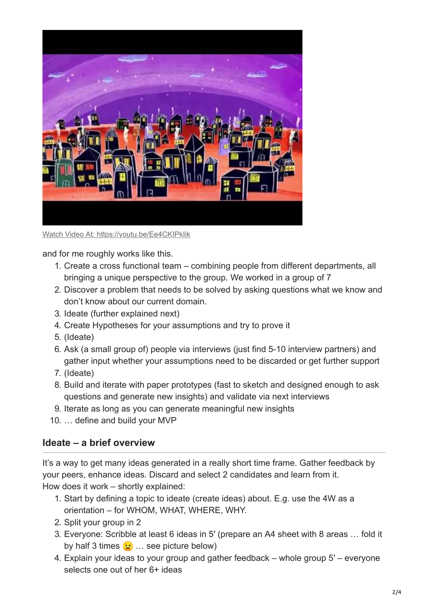

Watch Video At: <https://youtu.be/Ee4CKIPkIik>

and for me roughly works like this.

- 1. Create a cross functional team combining people from different departments, all bringing a unique perspective to the group. We worked in a group of 7
- 2. Discover a problem that needs to be solved by asking questions what we know and don't know about our current domain.
- 3. Ideate (further explained next)
- 4. Create Hypotheses for your assumptions and try to prove it
- 5. (Ideate)
- 6. Ask (a small group of) people via interviews (just find 5-10 interview partners) and gather input whether your assumptions need to be discarded or get further support
- 7. (Ideate)
- 8. Build and iterate with paper prototypes (fast to sketch and designed enough to ask questions and generate new insights) and validate via next interviews
- 9. Iterate as long as you can generate meaningful new insights
- 10. … define and build your MVP

### **Ideate – a brief overview**

It's a way to get many ideas generated in a really short time frame. Gather feedback by your peers, enhance ideas. Discard and select 2 candidates and learn from it. How does it work – shortly explained:

- 1. Start by defining a topic to ideate (create ideas) about. E.g. use the 4W as a orientation – for WHOM, WHAT, WHERE, WHY.
- 2. Split your group in 2
- 3. Everyone: Scribble at least 6 ideas in 5′ (prepare an A4 sheet with 8 areas … fold it by half 3 times  $\bullet$  ... see picture below)
- 4. Explain your ideas to your group and gather feedback whole group 5′ everyone selects one out of her 6+ ideas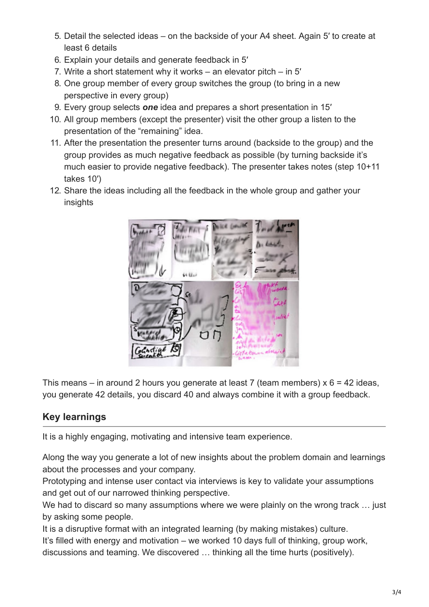- 5. Detail the selected ideas on the backside of your A4 sheet. Again 5′ to create at least 6 details
- 6. Explain your details and generate feedback in 5′
- 7. Write a short statement why it works an elevator pitch in 5′
- 8. One group member of every group switches the group (to bring in a new perspective in every group)
- 9. Every group selects *one* idea and prepares a short presentation in 15′
- 10. All group members (except the presenter) visit the other group a listen to the presentation of the "remaining" idea.
- 11. After the presentation the presenter turns around (backside to the group) and the group provides as much negative feedback as possible (by turning backside it's much easier to provide negative feedback). The presenter takes notes (step 10+11 takes 10′)
- 12. Share the ideas including all the feedback in the whole group and gather your **insights**



This means – in around 2 hours you generate at least 7 (team members)  $x 6 = 42$  ideas, you generate 42 details, you discard 40 and always combine it with a group feedback.

## **Key learnings**

It is a highly engaging, motivating and intensive team experience.

Along the way you generate a lot of new insights about the problem domain and learnings about the processes and your company.

Prototyping and intense user contact via interviews is key to validate your assumptions and get out of our narrowed thinking perspective.

We had to discard so many assumptions where we were plainly on the wrong track ... just by asking some people.

It is a disruptive format with an integrated learning (by making mistakes) culture. It's filled with energy and motivation – we worked 10 days full of thinking, group work, discussions and teaming. We discovered … thinking all the time hurts (positively).